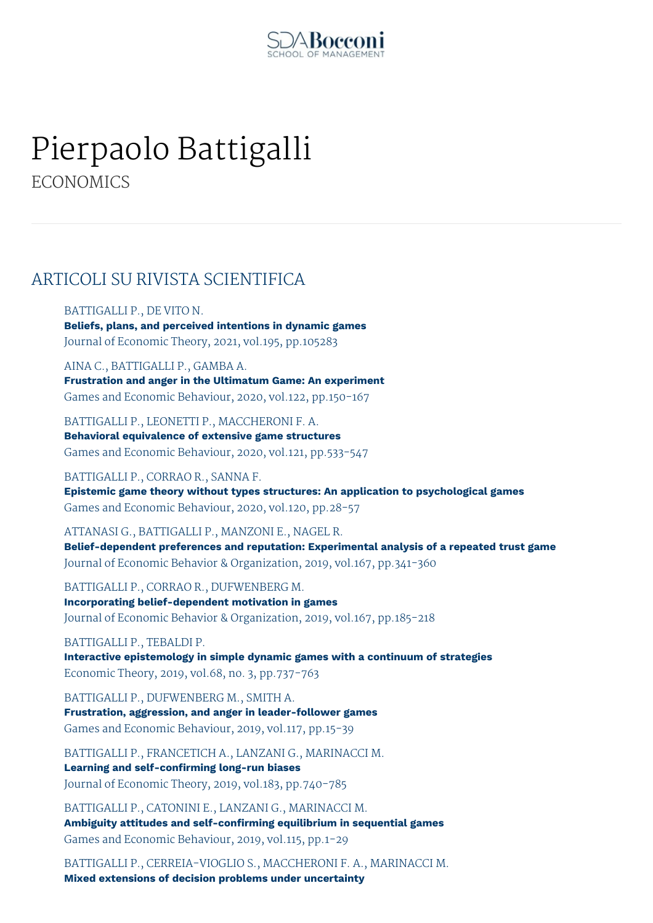

## Pierpaolo Battigalli **ECONOMICS**

## ARTICOLI SU RIVISTA SCIENTIFICA

BATTIGALLI P., DE VITO N.

**Beliefs, plans, and perceived intentions in dynamic games** Journal of Economic Theory, 2021, vol.195, pp.105283

AINA C., BATTIGALLI P., GAMBA A. **Frustration and anger in the Ultimatum Game: An experiment** Games and Economic Behaviour, 2020, vol.122, pp.150-167

BATTIGALLI P., LEONETTI P., MACCHERONI F. A. **Behavioral equivalence of extensive game structures** Games and Economic Behaviour, 2020, vol.121, pp.533-547

BATTIGALLI P., CORRAO R., SANNA F. **Epistemic game theory without types structures: An application to psychological games** Games and Economic Behaviour, 2020, vol.120, pp.28-57

ATTANASI G., BATTIGALLI P., MANZONI E., NAGEL R. **Belief-dependent preferences and reputation: Experimental analysis of a repeated trust game** Journal of Economic Behavior & Organization, 2019, vol.167, pp.341-360

BATTIGALLI P., CORRAO R., DUFWENBERG M. **Incorporating belief-dependent motivation in games** Journal of Economic Behavior & Organization, 2019, vol.167, pp.185-218

BATTIGALLI P., TEBALDI P. **Interactive epistemology in simple dynamic games with a continuum of strategies** Economic Theory, 2019, vol.68, no. 3, pp.737-763

BATTIGALLI P., DUFWENBERG M., SMITH A. **Frustration, aggression, and anger in leader-follower games** Games and Economic Behaviour, 2019, vol.117, pp.15-39

BATTIGALLI P., FRANCETICH A., LANZANI G., MARINACCI M. **Learning and self-confirming long-run biases** Journal of Economic Theory, 2019, vol.183, pp.740-785

BATTIGALLI P., CATONINI E., LANZANI G., MARINACCI M. **Ambiguity attitudes and self-confirming equilibrium in sequential games** Games and Economic Behaviour, 2019, vol.115, pp.1-29

BATTIGALLI P., CERREIA-VIOGLIO S., MACCHERONI F. A., MARINACCI M. **Mixed extensions of decision problems under uncertainty**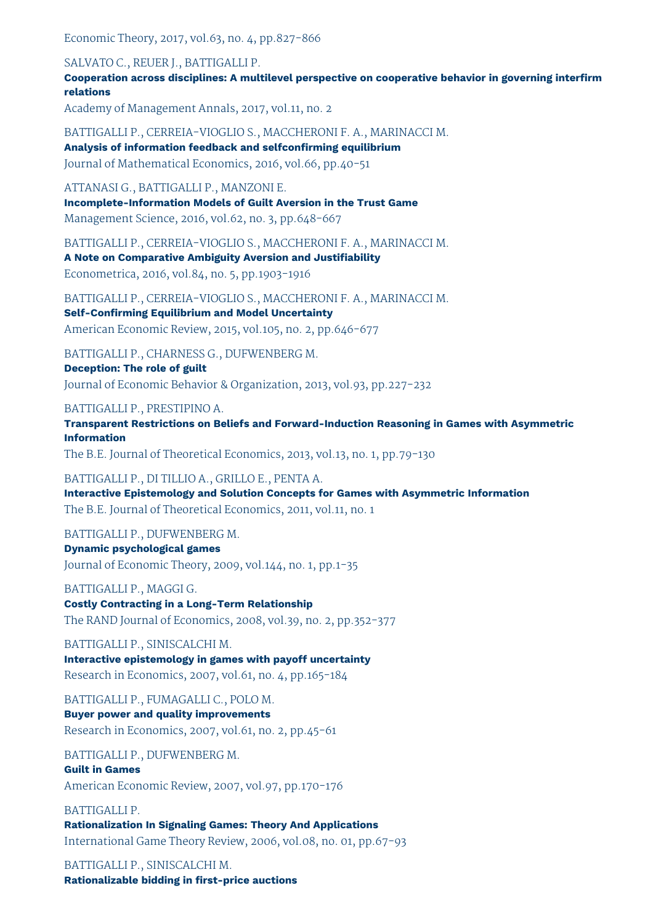Economic Theory, 2017, vol.63, no. 4, pp.827-866

SALVATO C., REUER J., BATTIGALLI P.

**Cooperation across disciplines: A multilevel perspective on cooperative behavior in governing interfirm relations**

Academy of Management Annals, 2017, vol.11, no. 2

BATTIGALLI P., CERREIA-VIOGLIO S., MACCHERONI F. A., MARINACCI M.

**Analysis of information feedback and selfconfirming equilibrium** Journal of Mathematical Economics, 2016, vol.66, pp.40-51

ATTANASI G., BATTIGALLI P., MANZONI E.

**Incomplete-Information Models of Guilt Aversion in the Trust Game** Management Science, 2016, vol.62, no. 3, pp.648-667

BATTIGALLI P., CERREIA-VIOGLIO S., MACCHERONI F. A., MARINACCI M.

**A Note on Comparative Ambiguity Aversion and Justifiability**

Econometrica, 2016, vol.84, no. 5, pp.1903-1916

BATTIGALLI P., CERREIA-VIOGLIO S., MACCHERONI F. A., MARINACCI M. **Self-Confirming Equilibrium and Model Uncertainty** American Economic Review, 2015, vol.105, no. 2, pp.646-677

BATTIGALLI P., CHARNESS G., DUFWENBERG M.

**Deception: The role of guilt** Journal of Economic Behavior & Organization, 2013, vol.93, pp.227-232

BATTIGALLI P., PRESTIPINO A.

**Transparent Restrictions on Beliefs and Forward-Induction Reasoning in Games with Asymmetric Information**

The B.E. Journal of Theoretical Economics, 2013, vol.13, no. 1, pp.79-130

BATTIGALLI P., DI TILLIO A., GRILLO E., PENTA A.

**Interactive Epistemology and Solution Concepts for Games with Asymmetric Information** The B.E. Journal of Theoretical Economics, 2011, vol.11, no. 1

BATTIGALLI P., DUFWENBERG M.

**Dynamic psychological games** Journal of Economic Theory, 2009, vol.144, no. 1, pp.1-35

BATTIGALLI P., MAGGI G. **Costly Contracting in a Long-Term Relationship** The RAND Journal of Economics, 2008, vol.39, no. 2, pp.352-377

BATTIGALLI P., SINISCALCHI M. **Interactive epistemology in games with payoff uncertainty**

Research in Economics, 2007, vol.61, no. 4, pp.165-184

BATTIGALLI P., FUMAGALLI C., POLO M.

**Buyer power and quality improvements**

Research in Economics, 2007, vol.61, no. 2, pp.45-61

BATTIGALLI P., DUFWENBERG M.

**Guilt in Games**

American Economic Review, 2007, vol.97, pp.170-176

BATTIGALLI P. **Rationalization In Signaling Games: Theory And Applications** International Game Theory Review, 2006, vol.08, no. 01, pp.67-93

BATTIGALLI P., SINISCALCHI M. **Rationalizable bidding in first-price auctions**